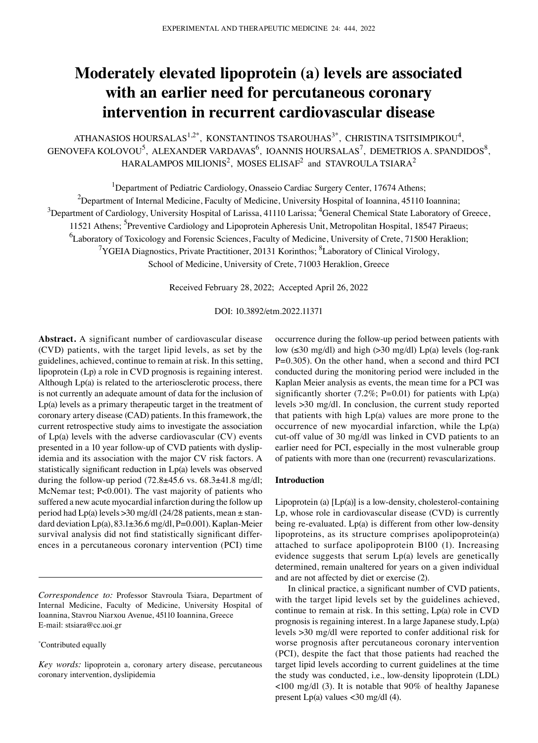# **Moderately elevated lipoprotein (a) levels are associated with an earlier need for percutaneous coronary intervention in recurrent cardiovascular disease**

ATHANASIOS HOURSALAS $^{1,2^*}$ , KONSTANTINOS TSAROUHAS $^{3^*}$ , CHRISTINA TSITSIMPIKOU $^4$ ,  $\rm{GENOVEFA}$  KOLOVOU<sup>5</sup>, ALEXANDER VARDAVAS<sup>6</sup>, IOANNIS HOURSALAS<sup>7</sup>, DEMETRIOS A. SPANDIDOS<sup>8</sup>, HARALAMPOS MILIONIS<sup>2</sup>, MOSES ELISAF<sup>2</sup> and STAVROULA TSIARA<sup>2</sup>

<sup>1</sup>Department of Pediatric Cardiology, Onasseio Cardiac Surgery Center, 17674 Athens;

<sup>2</sup>Department of Internal Medicine, Faculty of Medicine, University Hospital of Ioannina, 45110 Ioannina;

 $^3$ Department of Cardiology, University Hospital of Larissa, 41110 Larissa;  $^4$ General Chemical State Laboratory of Greece, 11521 Athens; <sup>5</sup>Preventive Cardiology and Lipoprotein Apheresis Unit, Metropolitan Hospital, 18547 Piraeus;

<sup>6</sup>Laboratory of Toxicology and Forensic Sciences, Faculty of Medicine, University of Crete, 71500 Heraklion;

<sup>7</sup>YGEIA Diagnostics, Private Practitioner, 20131 Korinthos; <sup>8</sup>Laboratory of Clinical Virology,

School of Medicine, University of Crete, 71003 Heraklion, Greece

Received February 28, 2022; Accepted April 26, 2022

DOI: 10.3892/etm.2022.11371

**Abstract.** A significant number of cardiovascular disease (CVD) patients, with the target lipid levels, as set by the guidelines, achieved, continue to remain at risk. In this setting, lipoprotein (Lp) a role in CVD prognosis is regaining interest. Although Lp(a) is related to the arteriosclerotic process, there is not currently an adequate amount of data for the inclusion of Lp(a) levels as a primary therapeutic target in the treatment of coronary artery disease (CAD) patients. In this framework, the current retrospective study aims to investigate the association of Lp(a) levels with the adverse cardiovascular (CV) events presented in a 10 year follow-up of CVD patients with dyslipidemia and its association with the major CV risk factors. A statistically significant reduction in Lp(a) levels was observed during the follow-up period  $(72.8\pm45.6 \text{ vs. } 68.3\pm41.8 \text{ mg/d}!)$ McNemar test; P<0.001). The vast majority of patients who suffered a new acute myocardial infarction during the follow up period had  $Lp(a)$  levels  $>30$  mg/dl (24/28 patients, mean  $\pm$  standard deviation  $Lp(a)$ ,  $83.1\pm36.6$  mg/dl,  $P=0.001$ ). Kaplan-Meier survival analysis did not find statistically significant differences in a percutaneous coronary intervention (PCI) time

*Correspondence to:* Professor Stavroula Tsiara, Department of Internal Medicine, Faculty of Medicine, University Hospital of Ioannina, Stavrou Niarxou Avenue, 45110 Ioannina, Greece E‑mail: stsiara@cc.uoi.gr

\* Contributed equally

occurrence during the follow‑up period between patients with low  $(\leq 30 \text{ mg/dl})$  and high  $(\geq 30 \text{ mg/dl})$  Lp(a) levels (log-rank P=0.305). On the other hand, when a second and third PCI conducted during the monitoring period were included in the Kaplan Meier analysis as events, the mean time for a PCI was significantly shorter (7.2%; P=0.01) for patients with  $Lp(a)$ levels >30 mg/dl. In conclusion, the current study reported that patients with high Lp(a) values are more prone to the occurrence of new myocardial infarction, while the Lp(a) cut‑off value of 30 mg/dl was linked in CVD patients to an earlier need for PCI, especially in the most vulnerable group of patients with more than one (recurrent) revascularizations.

## **Introduction**

Lipoprotein (a)  $[Lp(a)]$  is a low-density, cholesterol-containing Lp, whose role in cardiovascular disease (CVD) is currently being re-evaluated. Lp(a) is different from other low-density lipoproteins, as its structure comprises apolipoprotein(a) attached to surface apolipoprotein B100 (1). Increasing evidence suggests that serum Lp(a) levels are genetically determined, remain unaltered for years on a given individual and are not affected by diet or exercise (2).

In clinical practice, a significant number of CVD patients, with the target lipid levels set by the guidelines achieved, continue to remain at risk. In this setting, Lp(a) role in CVD prognosis is regaining interest. In a large Japanese study, Lp(a) levels >30 mg/dl were reported to confer additional risk for worse prognosis after percutaneous coronary intervention (PCI), despite the fact that those patients had reached the target lipid levels according to current guidelines at the time the study was conducted, i.e., low‑density lipoprotein (LDL) <100 mg/dl (3). It is notable that 90% of healthy Japanese present Lp(a) values <30 mg/dl (4).

*Key words:* lipoprotein a, coronary artery disease, percutaneous coronary intervention, dyslipidemia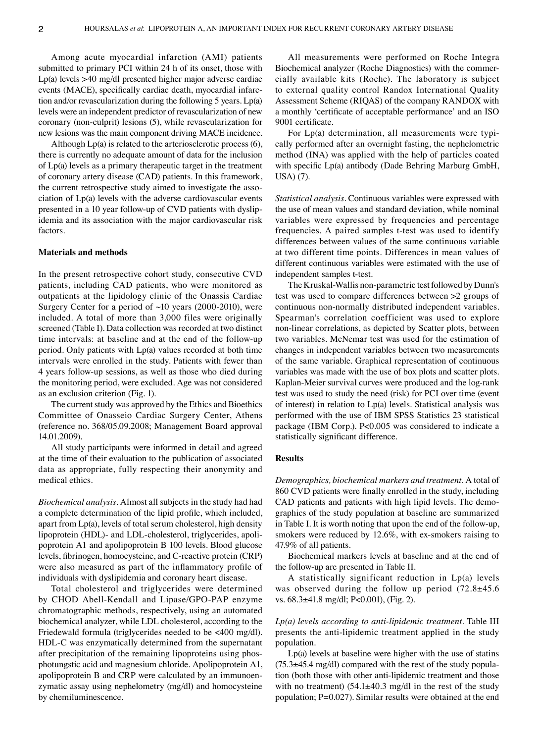Among acute myocardial infarction (AMI) patients submitted to primary PCI within 24 h of its onset, those with Lp(a) levels >40 mg/dl presented higher major adverse cardiac events (MACE), specifically cardiac death, myocardial infarction and/or revascularization during the following 5 years. Lp(a) levels were an independent predictor of revascularization of new coronary (non‑culprit) lesions (5), while revascularization for new lesions was the main component driving MACE incidence.

Although Lp(a) is related to the arteriosclerotic process (6), there is currently no adequate amount of data for the inclusion of Lp(a) levels as a primary therapeutic target in the treatment of coronary artery disease (CAD) patients. In this framework, the current retrospective study aimed to investigate the association of Lp(a) levels with the adverse cardiovascular events presented in a 10 year follow-up of CVD patients with dyslipidemia and its association with the major cardiovascular risk factors.

## **Materials and methods**

In the present retrospective cohort study, consecutive CVD patients, including CAD patients, who were monitored as outpatients at the lipidology clinic of the Onassis Cardiac Surgery Center for a period of  $~10$  years (2000-2010), were included. A total of more than 3,000 files were originally screened (Table I). Data collection was recorded at two distinct time intervals: at baseline and at the end of the follow‑up period. Only patients with Lp(a) values recorded at both time intervals were enrolled in the study. Patients with fewer than 4 years follow‑up sessions, as well as those who died during the monitoring period, were excluded. Age was not considered as an exclusion criterion (Fig. 1).

The current study was approved by the Ethics and Bioethics Committee of Onasseio Cardiac Surgery Center, Athens (reference no. 368/05.09.2008; Management Board approval 14.01.2009).

All study participants were informed in detail and agreed at the time of their evaluation to the publication of associated data as appropriate, fully respecting their anonymity and medical ethics.

*Biochemical analysis.* Almost all subjects in the study had had a complete determination of the lipid profile, which included, apart from Lp(a), levels of total serum cholesterol, high density lipoprotein (HDL)- and LDL-cholesterol, triglycerides, apolipoprotein A1 and apolipoprotein B 100 levels. Blood glucose levels, fibrinogen, homocysteine, and C‑reactive protein (CRP) were also measured as part of the inflammatory profile of individuals with dyslipidemia and coronary heart disease.

Total cholesterol and triglycerides were determined by CHOD Abell‑Kendall and Lipase/GPO‑PAP enzyme chromatographic methods, respectively, using an automated biochemical analyzer, while LDL cholesterol, according to the Friedewald formula (triglycerides needed to be <400 mg/dl). HDL-C was enzymatically determined from the supernatant after precipitation of the remaining lipoproteins using phosphotungstic acid and magnesium chloride. Apolipoprotein A1, apolipoprotein B and CRP were calculated by an immunoenzymatic assay using nephelometry (mg/dl) and homocysteine by chemiluminescence.

All measurements were performed on Roche Integra Biochemical analyzer (Roche Diagnostics) with the commercially available kits (Roche). The laboratory is subject to external quality control Randox International Quality Assessment Scheme (RIQAS) of the company RANDOX with a monthly 'certificate of acceptable performance' and an ISO 9001 certificate.

For  $Lp(a)$  determination, all measurements were typically performed after an overnight fasting, the nephelometric method (INA) was applied with the help of particles coated with specific Lp(a) antibody (Dade Behring Marburg GmbH, USA) (7).

*Statistical analysis.* Continuous variables were expressed with the use of mean values and standard deviation, while nominal variables were expressed by frequencies and percentage frequencies. A paired samples t-test was used to identify differences between values of the same continuous variable at two different time points. Differences in mean values of different continuous variables were estimated with the use of independent samples t‑test.

The Kruskal‑Wallis non‑parametric test followed by Dunn's test was used to compare differences between >2 groups of continuous non‑normally distributed independent variables. Spearman's correlation coefficient was used to explore non‑linear correlations, as depicted by Scatter plots, between two variables. McNemar test was used for the estimation of changes in independent variables between two measurements of the same variable. Graphical representation of continuous variables was made with the use of box plots and scatter plots. Kaplan-Meier survival curves were produced and the log-rank test was used to study the need (risk) for PCI over time (event of interest) in relation to Lp(a) levels. Statistical analysis was performed with the use of IBM SPSS Statistics 23 statistical package (IBM Corp.). P<0.005 was considered to indicate a statistically significant difference.

# **Results**

*Demographics, biochemical markers and treatment.* A total of 860 CVD patients were finally enrolled in the study, including CAD patients and patients with high lipid levels. The demographics of the study population at baseline are summarized in Table I. It is worth noting that upon the end of the follow‑up, smokers were reduced by 12.6%, with ex-smokers raising to 47.9% of all patients.

Biochemical markers levels at baseline and at the end of the follow‑up are presented in Table II.

A statistically significant reduction in Lp(a) levels was observed during the follow up period  $(72.8\pm45.6$ vs. 68.3±41.8 mg/dl; P<0.001), (Fig. 2).

*Lp(a) levels according to anti‑lipidemic treatment.* Table III presents the anti-lipidemic treatment applied in the study population.

Lp(a) levels at baseline were higher with the use of statins  $(75.3\pm45.4 \text{ mg/dl})$  compared with the rest of the study population (both those with other anti-lipidemic treatment and those with no treatment)  $(54.1 \pm 40.3 \text{ mg/dl} \text{ in the rest of the study})$ population; P=0.027). Similar results were obtained at the end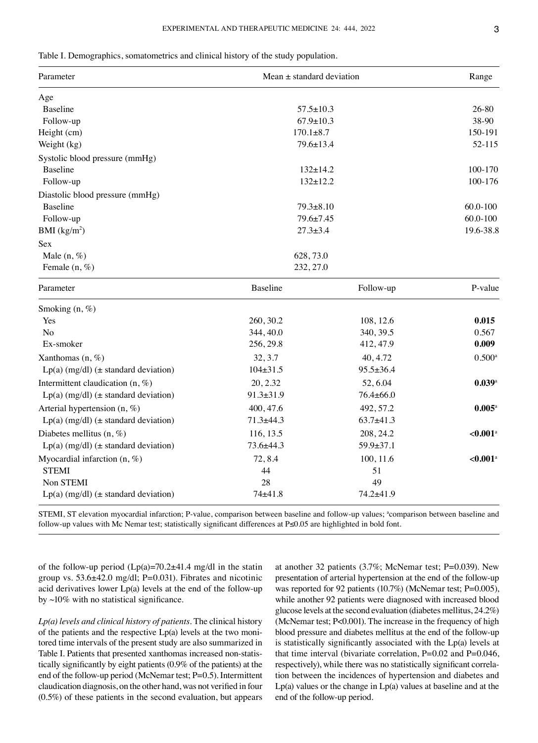|  |  | Table I. Demographics, somatometrics and clinical history of the study population. |  |  |  |
|--|--|------------------------------------------------------------------------------------|--|--|--|
|--|--|------------------------------------------------------------------------------------|--|--|--|

| Parameter                                   | Mean $\pm$ standard deviation | Range           |                        |
|---------------------------------------------|-------------------------------|-----------------|------------------------|
| Age                                         |                               |                 |                        |
| <b>Baseline</b>                             | $57.5 \pm 10.3$               |                 | 26-80                  |
| Follow-up                                   | $67.9 \pm 10.3$               |                 | 38-90                  |
| Height (cm)                                 | $170.1 \pm 8.7$               |                 | 150-191                |
| Weight (kg)                                 | $79.6 \pm 13.4$               |                 | 52-115                 |
| Systolic blood pressure (mmHg)              |                               |                 |                        |
| <b>Baseline</b>                             | $132 \pm 14.2$                |                 | 100-170                |
| Follow-up                                   | $132 \pm 12.2$                |                 | 100-176                |
| Diastolic blood pressure (mmHg)             |                               |                 |                        |
| <b>Baseline</b>                             | $79.3 \pm 8.10$               |                 | 60.0-100               |
| Follow-up                                   | 79.6±7.45                     |                 | 60.0-100               |
| BMI (kg/m <sup>2</sup> )                    | $27.3 \pm 3.4$                |                 | 19.6-38.8              |
| <b>Sex</b>                                  |                               |                 |                        |
| Male $(n, \%)$                              | 628, 73.0                     |                 |                        |
| Female $(n, \%)$                            | 232, 27.0                     |                 |                        |
| Parameter                                   | Baseline                      | Follow-up       | P-value                |
| Smoking $(n, \%)$                           |                               |                 |                        |
| Yes                                         | 260, 30.2                     | 108, 12.6       | 0.015                  |
| No                                          | 344, 40.0                     | 340, 39.5       | 0.567                  |
| Ex-smoker                                   | 256, 29.8                     | 412, 47.9       | 0.009                  |
| Xanthomas $(n, \%)$                         | 32, 3.7                       | 40, 4.72        | $0.500^{\rm a}$        |
| $Lp(a)$ (mg/dl) ( $\pm$ standard deviation) | $104 \pm 31.5$                | $95.5 \pm 36.4$ |                        |
| Intermittent claudication (n, %)            | 20, 2.32                      | 52,6.04         | 0.039a                 |
| $Lp(a)$ (mg/dl) ( $\pm$ standard deviation) | $91.3 \pm 31.9$               | $76.4 \pm 66.0$ |                        |
| Arterial hypertension $(n, \%)$             | 400, 47.6                     | 492, 57.2       | $0.005^{\rm a}$        |
| $Lp(a)$ (mg/dl) ( $\pm$ standard deviation) | $71.3 + 44.3$                 | $63.7+41.3$     |                        |
| Diabetes mellitus $(n, \%)$                 | 116, 13.5                     | 208, 24.2       | $< 0.001$ <sup>a</sup> |
| $Lp(a)$ (mg/dl) ( $\pm$ standard deviation) | 73.6±44.3                     | $59.9 \pm 37.1$ |                        |

 $STEMI$   $44$   $51$ Non STEMI 28 49 Lp(a)  $(mg/dl)$  ( $\pm$  standard deviation)  $74\pm41.8$   $74.2\pm41.9$ 

Myocardial infarction (n, %) 72, 8.4 100, 11.6 <**0.001**<sup>a</sup>

STEMI, ST elevation myocardial infarction; P-value, comparison between baseline and follow-up values; "comparison between baseline and follow‑up values with Mc Nemar test; statistically significant differences at P≤0.05 are highlighted in bold font.

of the follow-up period  $(Lp(a)=70.2\pm41.4 \text{ mg/dl}$  in the statin group vs. 53.6±42.0 mg/dl; P=0.031). Fibrates and nicotinic acid derivatives lower Lp(a) levels at the end of the follow‑up by  $\sim$ 10% with no statistical significance.

*Lp(a) levels and clinical history of patients.* The clinical history of the patients and the respective  $Lp(a)$  levels at the two monitored time intervals of the present study are also summarized in Table I. Patients that presented xanthomas increased non-statistically significantly by eight patients (0.9% of the patients) at the end of the follow-up period (McNemar test; P=0.5). Intermittent claudication diagnosis, on the other hand, was not verified in four (0.5%) of these patients in the second evaluation, but appears at another 32 patients (3.7%; McNemar test; P=0.039). New presentation of arterial hypertension at the end of the follow‑up was reported for 92 patients (10.7%) (McNemar test; P=0.005), while another 92 patients were diagnosed with increased blood glucose levels at the second evaluation (diabetes mellitus, 24.2%) (McNemar test; P<0.001). The increase in the frequency of high blood pressure and diabetes mellitus at the end of the follow‑up is statistically significantly associated with the Lp(a) levels at that time interval (bivariate correlation,  $P=0.02$  and  $P=0.046$ , respectively), while there was no statistically significant correlation between the incidences of hypertension and diabetes and Lp(a) values or the change in Lp(a) values at baseline and at the end of the follow‑up period.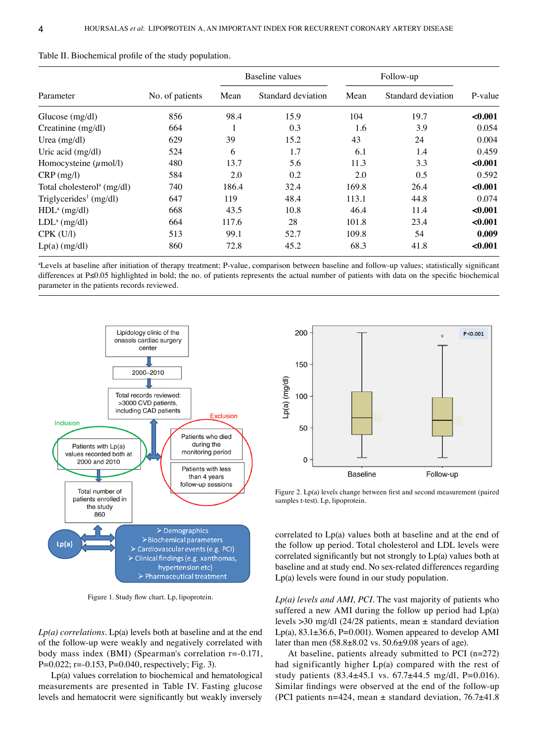|                                        | No. of patients | Baseline values |                    | Follow-up |                    |         |
|----------------------------------------|-----------------|-----------------|--------------------|-----------|--------------------|---------|
| Parameter                              |                 | Mean            | Standard deviation | Mean      | Standard deviation | P-value |
| Glucose $(mg/dl)$                      | 856             | 98.4            | 15.9               | 104       | 19.7               | < 0.001 |
| Creatinine (mg/dl)                     | 664             |                 | 0.3                | 1.6       | 3.9                | 0.054   |
| Urea $(mg/dl)$                         | 629             | 39              | 15.2               | 43        | 24                 | 0.004   |
| Uric acid (mg/dl)                      | 524             | 6               | 1.7                | 6.1       | 1.4                | 0.459   |
| Homocysteine $(\mu$ mol/l)             | 480             | 13.7            | 5.6                | 11.3      | 3.3                | < 0.001 |
| $CRP$ (mg/l)                           | 584             | 2.0             | 0.2                | 2.0       | 0.5                | 0.592   |
| Total cholesterol <sup>a</sup> (mg/dl) | 740             | 186.4           | 32.4               | 169.8     | 26.4               | < 0.001 |
| Triglycerides <sup>1</sup> (mg/dl)     | 647             | 119             | 48.4               | 113.1     | 44.8               | 0.074   |
| $HDLa$ (mg/dl)                         | 668             | 43.5            | 10.8               | 46.4      | 11.4               | < 0.001 |
| LDL <sup>a</sup> (mg/dl)               | 664             | 117.6           | 28                 | 101.8     | 23.4               | < 0.001 |
| $CPK$ (U/l)                            | 513             | 99.1            | 52.7               | 109.8     | 54                 | 0.009   |
| $Lp(a)$ (mg/dl)                        | 860             | 72.8            | 45.2               | 68.3      | 41.8               | < 0.001 |

| Table II. Biochemical profile of the study population. |  |  |
|--------------------------------------------------------|--|--|
|--------------------------------------------------------|--|--|

a Levels at baseline after initiation of therapy treatment; P‑value, comparison between baseline and follow‑up values; statistically significant differences at P≤0.05 highlighted in bold; the no. of patients represents the actual number of patients with data on the specific biochemical parameter in the patients records reviewed.



Figure 1. Study flow chart. Lp, lipoprotein.

*Lp(a) correlations.* Lp(a) levels both at baseline and at the end of the follow‑up were weakly and negatively correlated with body mass index (BMI) (Spearman's correlation  $r = -0.171$ , P=0.022; r=-0.153, P=0.040, respectively; Fig. 3).

Lp(a) values correlation to biochemical and hematological measurements are presented in Table IV. Fasting glucose levels and hematocrit were significantly but weakly inversely



Figure 2. Lp(a) levels change between first and second measurement (paired samples t-test). Lp, lipoprotein.

correlated to Lp(a) values both at baseline and at the end of the follow up period. Total cholesterol and LDL levels were correlated significantly but not strongly to Lp(a) values both at baseline and at study end. No sex‑related differences regarding Lp(a) levels were found in our study population.

*Lp(a) levels and AMI, PCI.* The vast majority of patients who suffered a new AMI during the follow up period had Lp(a) levels >30 mg/dl (24/28 patients, mean ± standard deviation Lp(a), 83.1±36.6, P=0.001). Women appeared to develop AMI later than men (58.8±8.02 vs. 50.6±9.08 years of age).

At baseline, patients already submitted to PCI (n=272) had significantly higher Lp(a) compared with the rest of study patients  $(83.4 \pm 45.1 \text{ vs. } 67.7 \pm 44.5 \text{ mg/d1}, \text{P} = 0.016)$ . Similar findings were observed at the end of the follow‑up (PCI patients n=424, mean  $\pm$  standard deviation, 76.7 $\pm$ 41.8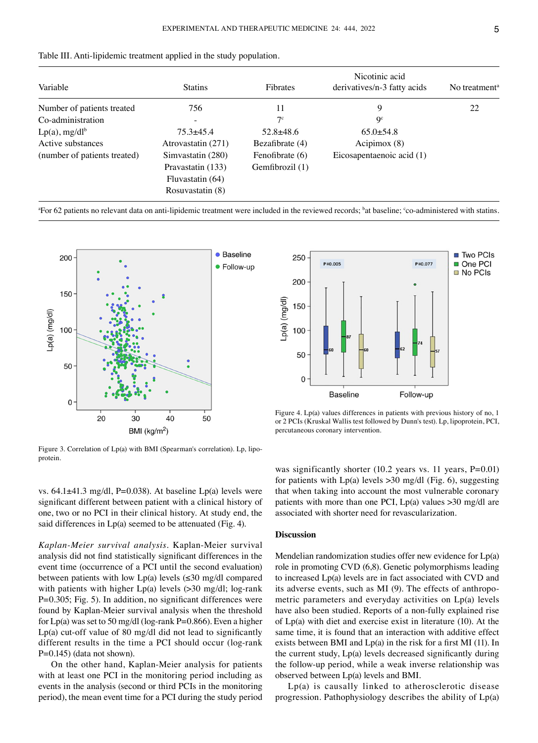| Variable                     | <b>Statins</b>     | <b>Fibrates</b>   | Nicotinic acid<br>derivatives/n-3 fatty acids | No treatment <sup>a</sup> |
|------------------------------|--------------------|-------------------|-----------------------------------------------|---------------------------|
| Number of patients treated   | 756                | 11                | 9                                             | 22                        |
| Co-administration            |                    | 7c                | <b>Qc</b>                                     |                           |
| $Lp(a)$ , mg/dl <sup>b</sup> | $75.3 + 45.4$      | $52.8 + 48.6$     | $65.0 \pm 54.8$                               |                           |
| Active substances            | Atrovastatin (271) | Bezafibrate $(4)$ | Acipimox (8)                                  |                           |
| (number of patients treated) | Simvastatin (280)  | Fenofibrate (6)   | Eicosapentaenoic acid (1)                     |                           |
|                              | Pravastatin (133)  | Gemfibrozil (1)   |                                               |                           |
|                              | Fluvastatin (64)   |                   |                                               |                           |
|                              | Rosuvastatin (8)   |                   |                                               |                           |

a For 62 patients no relevant data on anti‑lipidemic treatment were included in the reviewed records; b at baseline; c co‑administered with statins.



Figure 3. Correlation of Lp(a) with BMI (Spearman's correlation). Lp, lipoprotein.



Figure 4. Lp(a) values differences in patients with previous history of no, 1 or 2 PCIs (Kruskal Wallis test followed by Dunn's test). Lp, lipoprotein, PCI, percutaneous coronary intervention.

vs.  $64.1\pm41.3$  mg/dl, P=0.038). At baseline Lp(a) levels were significant different between patient with a clinical history of one, two or no PCI in their clinical history. At study end, the said differences in Lp(a) seemed to be attenuated (Fig. 4).

*Kaplan‑Meier survival analysis.* Kaplan‑Meier survival analysis did not find statistically significant differences in the event time (occurrence of a PCI until the second evaluation) between patients with low Lp(a) levels  $(\leq 30 \text{ mg/dl}$  compared with patients with higher  $Lp(a)$  levels ( $>30$  mg/dl; log-rank P=0.305; Fig. 5). In addition, no significant differences were found by Kaplan‑Meier survival analysis when the threshold for  $Lp(a)$  was set to 50 mg/dl (log-rank P=0.866). Even a higher Lp(a) cut‑off value of 80 mg/dl did not lead to significantly different results in the time a PCI should occur (log-rank  $P=0.145$ ) (data not shown).

On the other hand, Kaplan‑Meier analysis for patients with at least one PCI in the monitoring period including as events in the analysis (second or third PCIs in the monitoring period), the mean event time for a PCI during the study period was significantly shorter (10.2 years vs. 11 years, P=0.01) for patients with  $Lp(a)$  levels  $>30$  mg/dl (Fig. 6), suggesting that when taking into account the most vulnerable coronary patients with more than one PCI,  $Lp(a)$  values  $>30$  mg/dl are associated with shorter need for revascularization.

#### **Discussion**

Mendelian randomization studies offer new evidence for Lp(a) role in promoting CVD (6,8). Genetic polymorphisms leading to increased Lp(a) levels are in fact associated with CVD and its adverse events, such as MI (9). The effects of anthropometric parameters and everyday activities on Lp(a) levels have also been studied. Reports of a non-fully explained rise of Lp(a) with diet and exercise exist in literature (10). At the same time, it is found that an interaction with additive effect exists between BMI and Lp(a) in the risk for a first MI (11). In the current study, Lp(a) levels decreased significantly during the follow‑up period, while a weak inverse relationship was observed between Lp(a) levels and BMI.

Lp(a) is causally linked to atherosclerotic disease progression. Pathophysiology describes the ability of Lp(a)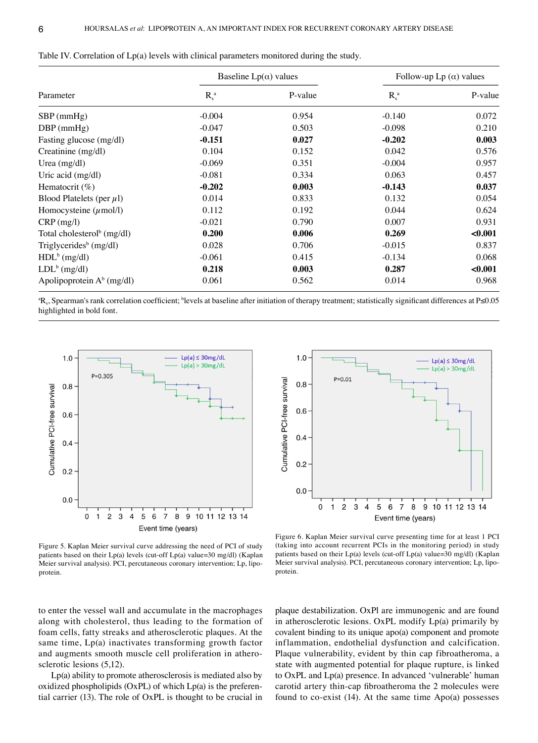|                                        |          | Baseline $Lp(\alpha)$ values | Follow-up Lp $(\alpha)$ values |         |
|----------------------------------------|----------|------------------------------|--------------------------------|---------|
| Parameter                              | $R_s^a$  | P-value                      | $R_s^a$                        | P-value |
| $SBP$ (mmHg)                           | $-0.004$ | 0.954                        | $-0.140$                       | 0.072   |
| $DBP$ (mmHg)                           | $-0.047$ | 0.503                        | $-0.098$                       | 0.210   |
| Fasting glucose (mg/dl)                | $-0.151$ | 0.027                        | $-0.202$                       | 0.003   |
| Creatinine (mg/dl)                     | 0.104    | 0.152                        | 0.042                          | 0.576   |
| Urea $(mg/dl)$                         | $-0.069$ | 0.351                        | $-0.004$                       | 0.957   |
| Uric acid (mg/dl)                      | $-0.081$ | 0.334                        | 0.063                          | 0.457   |
| Hematocrit $(\%)$                      | $-0.202$ | 0.003                        | $-0.143$                       | 0.037   |
| Blood Platelets (per $\mu$ l)          | 0.014    | 0.833                        | 0.132                          | 0.054   |
| Homocysteine $(\mu \text{mol/l})$      | 0.112    | 0.192                        | 0.044                          | 0.624   |
| $CRP$ (mg/l)                           | $-0.021$ | 0.790                        | 0.007                          | 0.931   |
| Total cholesterol <sup>b</sup> (mg/dl) | 0.200    | 0.006                        | 0.269                          | < 0.001 |
| Triglycerides <sup>b</sup> (mg/dl)     | 0.028    | 0.706                        | $-0.015$                       | 0.837   |
| $HDLb$ (mg/dl)                         | $-0.061$ | 0.415                        | $-0.134$                       | 0.068   |
| $LDL^b$ (mg/dl)                        | 0.218    | 0.003                        | 0.287                          | < 0.001 |
| Apolipoprotein $A^b$ (mg/dl)           | 0.061    | 0.562                        | 0.014                          | 0.968   |

Table IV. Correlation of Lp(a) levels with clinical parameters monitored during the study.

a Rs, Spearman's rank correlation coefficient; <sup>b</sup> levels at baseline after initiation of therapy treatment; statistically significant differences at P≤0.05 highlighted in bold font.



Figure 5. Kaplan Meier survival curve addressing the need of PCI of study patients based on their Lp(a) levels (cut-off Lp(a) value=30 mg/dl) (Kaplan Meier survival analysis). PCI, percutaneous coronary intervention; Lp, lipoprotein.



Figure 6. Kaplan Meier survival curve presenting time for at least 1 PCI (taking into account recurrent PCIs in the monitoring period) in study patients based on their Lp(a) levels (cut-off Lp(a) value=30 mg/dl) (Kaplan Meier survival analysis). PCI, percutaneous coronary intervention; Lp, lipoprotein.

to enter the vessel wall and accumulate in the macrophages along with cholesterol, thus leading to the formation of foam cells, fatty streaks and atherosclerotic plaques. At the same time, Lp(a) inactivates transforming growth factor and augments smooth muscle cell proliferation in atherosclerotic lesions (5,12).

Lp(a) ability to promote atherosclerosis is mediated also by oxidized phospholipids  $(OxPL)$  of which  $Lp(a)$  is the preferential carrier (13). The role of OxPL is thought to be crucial in

plaque destabilization. OxPl are immunogenic and are found in atherosclerotic lesions. OxPL modify Lp(a) primarily by covalent binding to its unique apo(a) component and promote inflammation, endothelial dysfunction and calcification. Plaque vulnerability, evident by thin cap fibroatheroma, a state with augmented potential for plaque rupture, is linked to OxPL and Lp(a) presence. In advanced 'vulnerable' human carotid artery thin‑cap fibroatheroma the 2 molecules were found to co-exist  $(14)$ . At the same time Apo $(a)$  possesses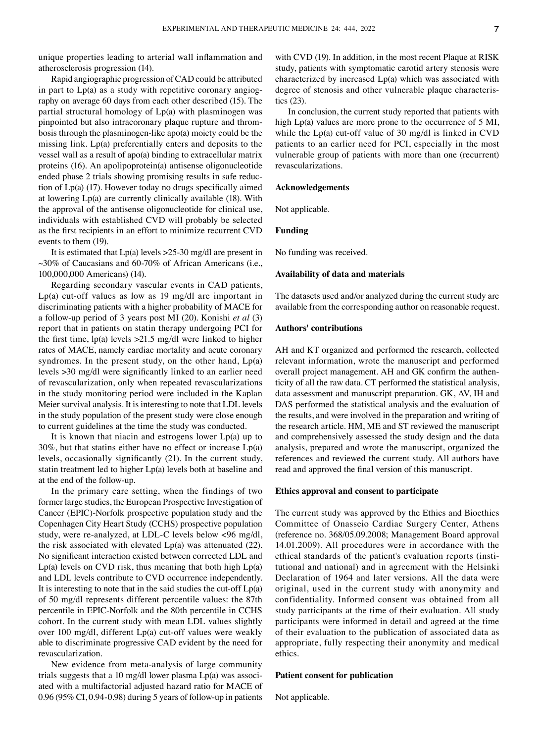unique properties leading to arterial wall inflammation and atherosclerosis progression (14).

Rapid angiographic progression of CAD could be attributed in part to  $Lp(a)$  as a study with repetitive coronary angiography on average 60 days from each other described (15). The partial structural homology of Lp(a) with plasminogen was pinpointed but also intracoronary plaque rupture and thrombosis through the plasminogen-like apo(a) moiety could be the missing link. Lp(a) preferentially enters and deposits to the vessel wall as a result of apo(a) binding to extracellular matrix proteins (16). An apolipoprotein(a) antisense oligonucleotide ended phase 2 trials showing promising results in safe reduction of Lp(a) (17). However today no drugs specifically aimed at lowering Lp(a) are currently clinically available (18). With the approval of the antisense oligonucleotide for clinical use, individuals with established CVD will probably be selected as the first recipients in an effort to minimize recurrent CVD events to them (19).

It is estimated that Lp(a) levels >25‑30 mg/dl are present in  $\sim$ 30% of Caucasians and 60-70% of African Americans (i.e., 100,000,000 Americans) (14).

Regarding secondary vascular events in CAD patients, Lp(a) cut‑off values as low as 19 mg/dl are important in discriminating patients with a higher probability of MACE for a follow‑up period of 3 years post MI (20). Konishi *et al* (3) report that in patients on statin therapy undergoing PCI for the first time, lp(a) levels >21.5 mg/dl were linked to higher rates of MACE, namely cardiac mortality and acute coronary syndromes. In the present study, on the other hand,  $Lp(a)$ levels >30 mg/dl were significantly linked to an earlier need of revascularization, only when repeated revascularizations in the study monitoring period were included in the Kaplan Meier survival analysis. It is interesting to note that LDL levels in the study population of the present study were close enough to current guidelines at the time the study was conducted.

It is known that niacin and estrogens lower  $Lp(a)$  up to  $30\%$ , but that statins either have no effect or increase  $Lp(a)$ levels, occasionally significantly (21). In the current study, statin treatment led to higher Lp(a) levels both at baseline and at the end of the follow‑up.

In the primary care setting, when the findings of two former large studies, the European Prospective Investigation of Cancer (EPIC)‑Norfolk prospective population study and the Copenhagen City Heart Study (CCHS) prospective population study, were re‑analyzed, at LDL‑C levels below <96 mg/dl, the risk associated with elevated Lp(a) was attenuated (22). No significant interaction existed between corrected LDL and  $Lp(a)$  levels on CVD risk, thus meaning that both high  $Lp(a)$ and LDL levels contribute to CVD occurrence independently. It is interesting to note that in the said studies the cut-off  $Lp(a)$ of 50 mg/dl represents different percentile values: the 87th percentile in EPIC‑Norfolk and the 80th percentile in CCHS cohort. In the current study with mean LDL values slightly over 100 mg/dl, different Lp(a) cut-off values were weakly able to discriminate progressive CAD evident by the need for revascularization.

New evidence from meta‑analysis of large community trials suggests that a 10 mg/dl lower plasma  $Lp(a)$  was associated with a multifactorial adjusted hazard ratio for MACE of 0.96 (95% CI, 0.94‑0.98) during 5 years of follow‑up in patients with CVD (19). In addition, in the most recent Plaque at RISK study, patients with symptomatic carotid artery stenosis were characterized by increased Lp(a) which was associated with degree of stenosis and other vulnerable plaque characteristics (23).

In conclusion, the current study reported that patients with high Lp(a) values are more prone to the occurrence of 5 MI, while the  $Lp(a)$  cut-off value of 30 mg/dl is linked in CVD patients to an earlier need for PCI, especially in the most vulnerable group of patients with more than one (recurrent) revascularizations.

## **Acknowledgements**

Not applicable.

# **Funding**

No funding was received.

#### **Availability of data and materials**

The datasets used and/or analyzed during the current study are available from the corresponding author on reasonable request.

## **Authors' contributions**

AH and KT organized and performed the research, collected relevant information, wrote the manuscript and performed overall project management. AH and GK confirm the authenticity of all the raw data. CT performed the statistical analysis, data assessment and manuscript preparation. GK, AV, IH and DAS performed the statistical analysis and the evaluation of the results, and were involved in the preparation and writing of the research article. HM, ME and ST reviewed the manuscript and comprehensively assessed the study design and the data analysis, prepared and wrote the manuscript, organized the references and reviewed the current study. All authors have read and approved the final version of this manuscript.

## **Ethics approval and consent to participate**

The current study was approved by the Ethics and Bioethics Committee of Onasseio Cardiac Surgery Center, Athens (reference no. 368/05.09.2008; Management Board approval 14.01.2009). All procedures were in accordance with the ethical standards of the patient's evaluation reports (institutional and national) and in agreement with the Helsinki Declaration of 1964 and later versions. All the data were original, used in the current study with anonymity and confidentiality. Informed consent was obtained from all study participants at the time of their evaluation. All study participants were informed in detail and agreed at the time of their evaluation to the publication of associated data as appropriate, fully respecting their anonymity and medical ethics.

## **Patient consent for publication**

Not applicable.